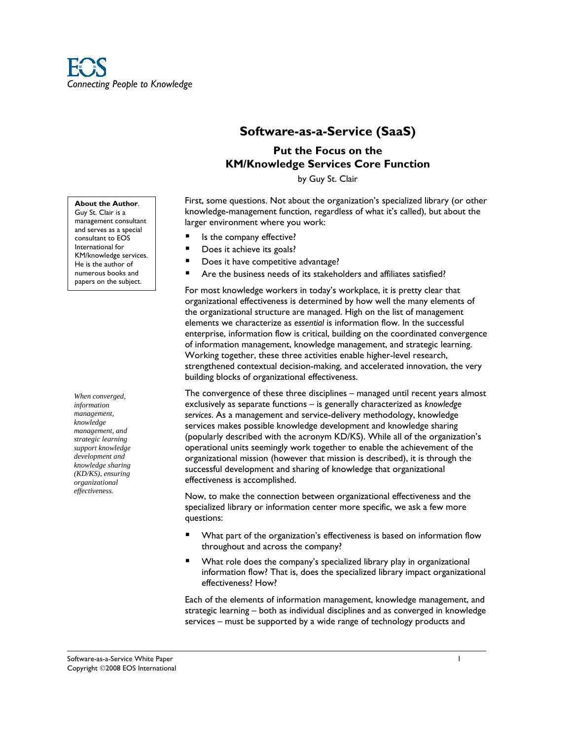# **Software-as-a-Service (SaaS)**

# **Put the Focus on the KM/Knowledge Services Core Function**

by Guy St. Clair

First, some questions. Not about the organization's specialized library (or other knowledge-management function, regardless of what it's called), but about the larger environment where you work:

- Is the company effective?
- Does it achieve its goals?
- Does it have competitive advantage?
- Are the business needs of its stakeholders and affiliates satisfied?

For most knowledge workers in today's workplace, it is pretty clear that organizational effectiveness is determined by how well the many elements of the organizational structure are managed. High on the list of management elements we characterize as *essential* is information flow. In the successful enterprise, information flow is critical, building on the coordinated convergence of information management, knowledge management, and strategic learning. Working together, these three activities enable higher-level research, strengthened contextual decision-making, and accelerated innovation, the very building blocks of organizational effectiveness.

The convergence of these three disciplines – managed until recent years almost exclusively as separate functions – is generally characterized as *knowledge services*. As a management and service-delivery methodology, knowledge services makes possible knowledge development and knowledge sharing (popularly described with the acronym KD/KS). While all of the organization's operational units seemingly work together to enable the achievement of the organizational mission (however that mission is described), it is through the successful development and sharing of knowledge that organizational effectiveness is accomplished.

Now, to make the connection between organizational effectiveness and the specialized library or information center more specific, we ask a few more questions:

- What part of the organization's effectiveness is based on information flow throughout and across the company?
- What role does the company's specialized library play in organizational information flow? That is, does the specialized library impact organizational effectiveness? How?

Each of the elements of information management, knowledge management, and strategic learning – both as individual disciplines and as converged in knowledge services – must be supported by a wide range of technology products and

**About the Author**. Guy St. Clair is a management consultant and serves as a special consultant to EOS International for KM/knowledge services. He is the author of numerous books and papers on the subject.

*When converged, information management, knowledge management, and strategic learning support knowledge development and knowledge sharing (KD/KS), ensuring organizational effectiveness.*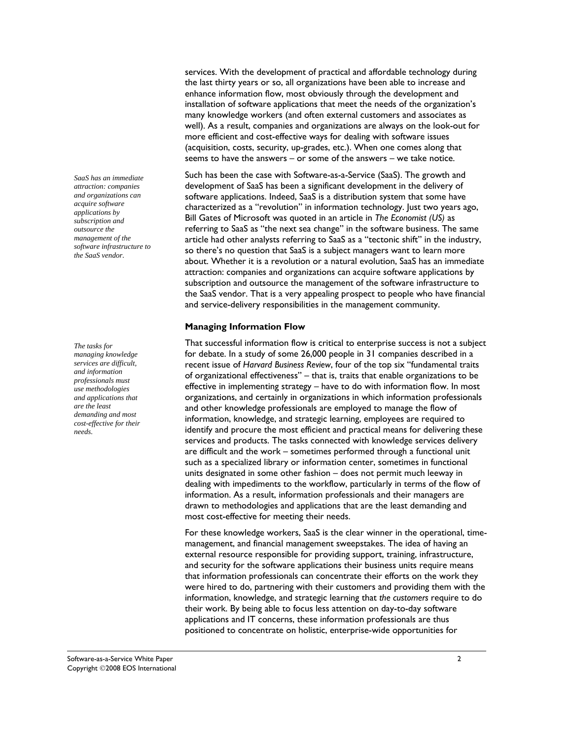*SaaS has an immediate attraction: companies and organizations can acquire software applications by subscription and outsource the management of the software infrastructure to the SaaS vendor.* 

*The tasks for managing knowledge services are difficult, and information professionals must use methodologies and applications that are the least demanding and most cost-effective for their needs.* 

services. With the development of practical and affordable technology during the last thirty years or so, all organizations have been able to increase and enhance information flow, most obviously through the development and installation of software applications that meet the needs of the organization's many knowledge workers (and often external customers and associates as well). As a result, companies and organizations are always on the look-out for more efficient and cost-effective ways for dealing with software issues (acquisition, costs, security, up-grades, etc.). When one comes along that seems to have the answers – or some of the answers – we take notice.

Such has been the case with Software-as-a-Service (SaaS). The growth and development of SaaS has been a significant development in the delivery of software applications. Indeed, SaaS is a distribution system that some have characterized as a "revolution" in information technology. Just two years ago, Bill Gates of Microsoft was quoted in an article in *The Economist (US)* as referring to SaaS as "the next sea change" in the software business. The same article had other analysts referring to SaaS as a "tectonic shift" in the industry, so there's no question that SaaS is a subject managers want to learn more about. Whether it is a revolution or a natural evolution, SaaS has an immediate attraction: companies and organizations can acquire software applications by subscription and outsource the management of the software infrastructure to the SaaS vendor. That is a very appealing prospect to people who have financial and service-delivery responsibilities in the management community.

#### **Managing Information Flow**

That successful information flow is critical to enterprise success is not a subject for debate. In a study of some 26,000 people in 31 companies described in a recent issue of *Harvard Business Review*, four of the top six "fundamental traits of organizational effectiveness" – that is, traits that enable organizations to be effective in implementing strategy – have to do with information flow. In most organizations, and certainly in organizations in which information professionals and other knowledge professionals are employed to manage the flow of information, knowledge, and strategic learning, employees are required to identify and procure the most efficient and practical means for delivering these services and products. The tasks connected with knowledge services delivery are difficult and the work – sometimes performed through a functional unit such as a specialized library or information center, sometimes in functional units designated in some other fashion – does not permit much leeway in dealing with impediments to the workflow, particularly in terms of the flow of information. As a result, information professionals and their managers are drawn to methodologies and applications that are the least demanding and most cost-effective for meeting their needs.

For these knowledge workers, SaaS is the clear winner in the operational, timemanagement, and financial management sweepstakes. The idea of having an external resource responsible for providing support, training, infrastructure, and security for the software applications their business units require means that information professionals can concentrate their efforts on the work they were hired to do, partnering with their customers and providing them with the information, knowledge, and strategic learning that *the customers* require to do their work. By being able to focus less attention on day-to-day software applications and IT concerns, these information professionals are thus positioned to concentrate on holistic, enterprise-wide opportunities for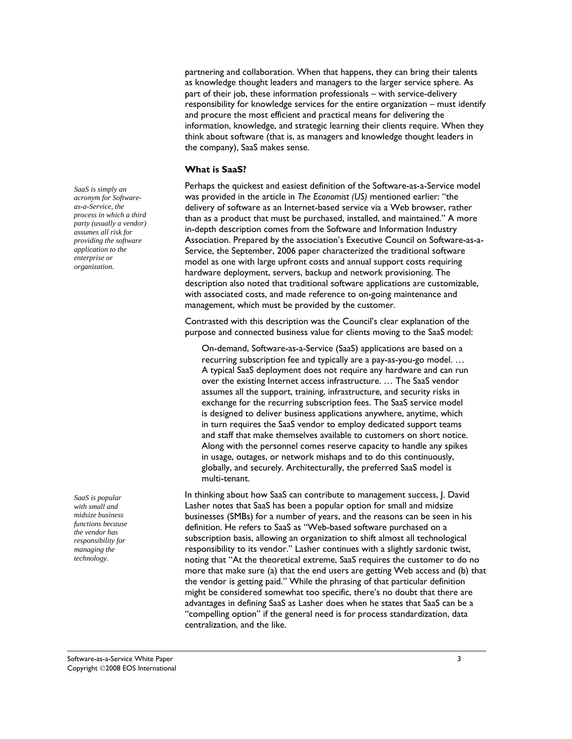partnering and collaboration. When that happens, they can bring their talents as knowledge thought leaders and managers to the larger service sphere. As part of their job, these information professionals – with service-delivery responsibility for knowledge services for the entire organization – must identify and procure the most efficient and practical means for delivering the information, knowledge, and strategic learning their clients require. When they think about software (that is, as managers and knowledge thought leaders in the company), SaaS makes sense.

### **What is SaaS?**

Perhaps the quickest and easiest definition of the Software-as-a-Service model was provided in the article in *The Economist (US)* mentioned earlier: "the delivery of software as an Internet-based service via a Web browser, rather than as a product that must be purchased, installed, and maintained." A more in-depth description comes from the Software and Information Industry Association. Prepared by the association's Executive Council on Software-as-a-Service, the September, 2006 paper characterized the traditional software model as one with large upfront costs and annual support costs requiring hardware deployment, servers, backup and network provisioning. The description also noted that traditional software applications are customizable, with associated costs, and made reference to on-going maintenance and management, which must be provided by the customer.

Contrasted with this description was the Council's clear explanation of the purpose and connected business value for clients moving to the SaaS model:

On-demand, Software-as-a-Service (SaaS) applications are based on a recurring subscription fee and typically are a pay-as-you-go model. … A typical SaaS deployment does not require any hardware and can run over the existing Internet access infrastructure. … The SaaS vendor assumes all the support, training, infrastructure, and security risks in exchange for the recurring subscription fees. The SaaS service model is designed to deliver business applications anywhere, anytime, which in turn requires the SaaS vendor to employ dedicated support teams and staff that make themselves available to customers on short notice. Along with the personnel comes reserve capacity to handle any spikes in usage, outages, or network mishaps and to do this continuously, globally, and securely. Architecturally, the preferred SaaS model is multi-tenant.

In thinking about how SaaS can contribute to management success, J. David Lasher notes that SaaS has been a popular option for small and midsize businesses (SMBs) for a number of years, and the reasons can be seen in his definition. He refers to SaaS as "Web-based software purchased on a subscription basis, allowing an organization to shift almost all technological responsibility to its vendor." Lasher continues with a slightly sardonic twist, noting that "At the theoretical extreme, SaaS requires the customer to do no more that make sure (a) that the end users are getting Web access and (b) that the vendor is getting paid." While the phrasing of that particular definition might be considered somewhat too specific, there's no doubt that there are advantages in defining SaaS as Lasher does when he states that SaaS can be a "compelling option" if the general need is for process standardization, data centralization, and the like.

*SaaS is simply an acronym for Softwareas-a-Service, the process in which a third party (usually a vendor) assumes all risk for providing the software application to the enterprise or organization.* 

*SaaS is popular with small and midsize business functions because the vendor has responsibility for managing the technology.*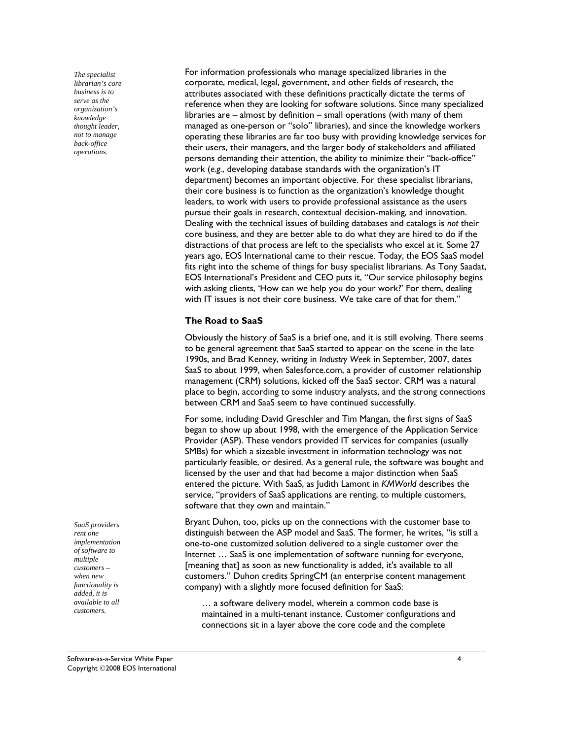*The specialist librarian's core business is to serve as the organization's knowledge thought leader, not to manage back-office operations.* 

For information professionals who manage specialized libraries in the corporate, medical, legal, government, and other fields of research, the attributes associated with these definitions practically dictate the terms of reference when they are looking for software solutions. Since many specialized libraries are – almost by definition – small operations (with many of them managed as one-person or "solo" libraries), and since the knowledge workers operating these libraries are far too busy with providing knowledge services for their users, their managers, and the larger body of stakeholders and affiliated persons demanding their attention, the ability to minimize their "back-office" work (*e.g.*, developing database standards with the organization's IT department) becomes an important objective. For these specialist librarians, their core business is to function as the organization's knowledge thought leaders, to work with users to provide professional assistance as the users pursue their goals in research, contextual decision-making, and innovation. Dealing with the technical issues of building databases and catalogs is *not* their core business, and they are better able to do what they are hired to do if the distractions of that process are left to the specialists who excel at it. Some 27 years ago, EOS International came to their rescue. Today, the EOS SaaS model fits right into the scheme of things for busy specialist librarians. As Tony Saadat, EOS International's President and CEO puts it, "Our service philosophy begins with asking clients, 'How can we help you do your work?' For them, dealing with IT issues is not their core business. We take care of that for them."

## **The Road to SaaS**

Obviously the history of SaaS is a brief one, and it is still evolving. There seems to be general agreement that SaaS started to appear on the scene in the late 1990s, and Brad Kenney, writing in *Industry Week* in September, 2007, dates SaaS to about 1999, when Salesforce.com, a provider of customer relationship management (CRM) solutions, kicked off the SaaS sector. CRM was a natural place to begin, according to some industry analysts, and the strong connections between CRM and SaaS seem to have continued successfully.

For some, including David Greschler and Tim Mangan, the first signs of SaaS began to show up about 1998, with the emergence of the Application Service Provider (ASP). These vendors provided IT services for companies (usually SMBs) for which a sizeable investment in information technology was not particularly feasible, or desired. As a general rule, the software was bought and licensed by the user and that had become a major distinction when SaaS entered the picture. With SaaS, as Judith Lamont in *KMWorld* describes the service, "providers of SaaS applications are renting, to multiple customers, software that they own and maintain."

Bryant Duhon, too, picks up on the connections with the customer base to distinguish between the ASP model and SaaS. The former, he writes, "is still a one-to-one customized solution delivered to a single customer over the Internet … SaaS is one implementation of software running for everyone, [meaning that] as soon as new functionality is added, it's available to all customers." Duhon credits SpringCM (an enterprise content management company) with a slightly more focused definition for SaaS:

… a software delivery model, wherein a common code base is maintained in a multi-tenant instance. Customer configurations and connections sit in a layer above the core code and the complete

*SaaS providers rent one implementation of software to multiple customers – when new functionality is added, it is available to all customers.*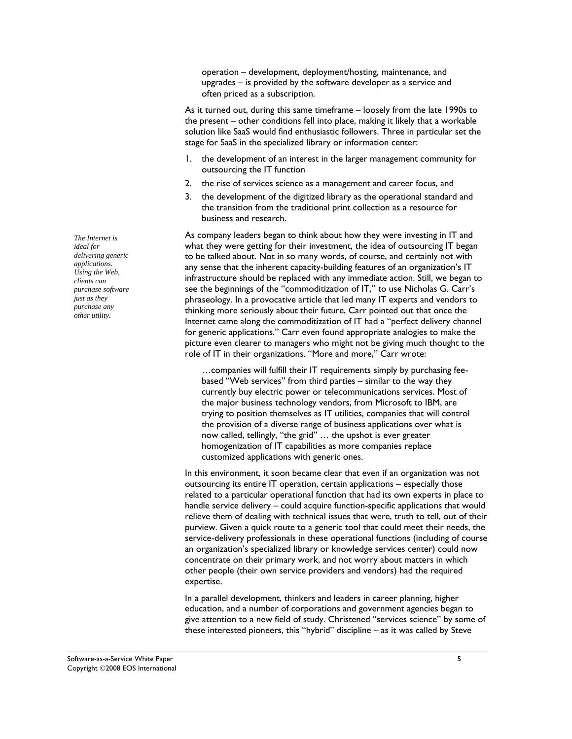operation – development, deployment/hosting, maintenance, and upgrades – is provided by the software developer as a service and often priced as a subscription.

As it turned out, during this same timeframe – loosely from the late 1990s to the present – other conditions fell into place, making it likely that a workable solution like SaaS would find enthusiastic followers. Three in particular set the stage for SaaS in the specialized library or information center:

- 1. the development of an interest in the larger management community for outsourcing the IT function
- 2. the rise of services science as a management and career focus, and
- 3. the development of the digitized library as the operational standard and the transition from the traditional print collection as a resource for business and research.

As company leaders began to think about how they were investing in IT and what they were getting for their investment, the idea of outsourcing IT began to be talked about. Not in so many words, of course, and certainly not with any sense that the inherent capacity-building features of an organization's IT infrastructure should be replaced with any immediate action. Still, we began to see the beginnings of the "commoditization of IT," to use Nicholas G. Carr's phraseology. In a provocative article that led many IT experts and vendors to thinking more seriously about their future, Carr pointed out that once the Internet came along the commoditization of IT had a "perfect delivery channel for generic applications." Carr even found appropriate analogies to make the picture even clearer to managers who might not be giving much thought to the role of IT in their organizations. "More and more," Carr wrote:

…companies will fulfill their IT requirements simply by purchasing feebased "Web services" from third parties – similar to the way they currently buy electric power or telecommunications services. Most of the major business technology vendors, from Microsoft to IBM, are trying to position themselves as IT utilities, companies that will control the provision of a diverse range of business applications over what is now called, tellingly, "the grid" … the upshot is ever greater homogenization of IT capabilities as more companies replace customized applications with generic ones.

In this environment, it soon became clear that even if an organization was not outsourcing its entire IT operation, certain applications – especially those related to a particular operational function that had its own experts in place to handle service delivery – could acquire function-specific applications that would relieve them of dealing with technical issues that were, truth to tell, out of their purview. Given a quick route to a generic tool that could meet their needs, the service-delivery professionals in these operational functions (including of course an organization's specialized library or knowledge services center) could now concentrate on their primary work, and not worry about matters in which other people (their own service providers and vendors) had the required expertise.

In a parallel development, thinkers and leaders in career planning, higher education, and a number of corporations and government agencies began to give attention to a new field of study. Christened "services science" by some of these interested pioneers, this "hybrid" discipline – as it was called by Steve

*The Internet is ideal for delivering generic applications. Using the Web, clients can purchase software just as they purchase any other utility.*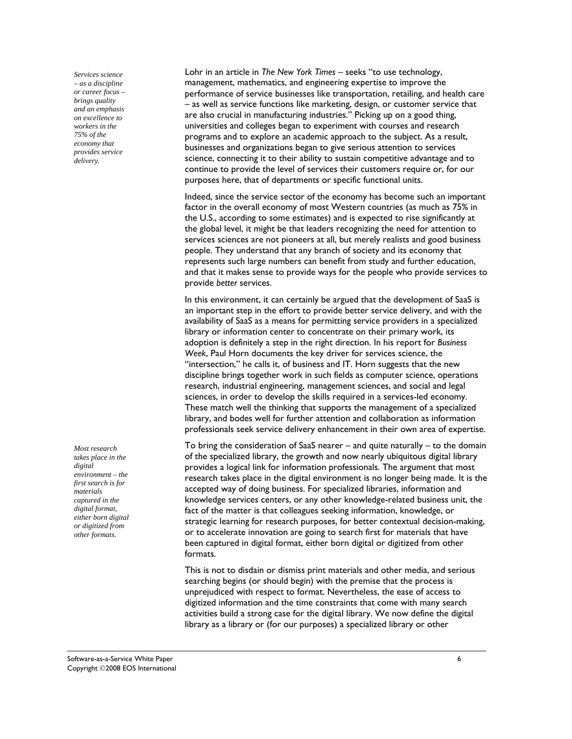*Services science – as a discipline or career focus – brings quality and an emphasis on excellence to workers in the 75% of the economy that provides service delivery.* 

*Most research takes place in the digital environment – the first search is for materials captured in the digital format, either born digital or digitized from other formats.* 

Lohr in an article in *The New York Times* – seeks "to use technology, management, mathematics, and engineering expertise to improve the performance of service businesses like transportation, retailing, and health care – as well as service functions like marketing, design, or customer service that are also crucial in manufacturing industries." Picking up on a good thing, universities and colleges began to experiment with courses and research programs and to explore an academic approach to the subject. As a result, businesses and organizations began to give serious attention to services science, connecting it to their ability to sustain competitive advantage and to continue to provide the level of services their customers require or, for our purposes here, that of departments or specific functional units.

Indeed, since the service sector of the economy has become such an important factor in the overall economy of most Western countries (as much as 75% in the U.S., according to some estimates) and is expected to rise significantly at the global level, it might be that leaders recognizing the need for attention to services sciences are not pioneers at all, but merely realists and good business people. They understand that any branch of society and its economy that represents such large numbers can benefit from study and further education, and that it makes sense to provide ways for the people who provide services to provide *better* services.

In this environment, it can certainly be argued that the development of SaaS is an important step in the effort to provide better service delivery, and with the availability of SaaS as a means for permitting service providers in a specialized library or information center to concentrate on their primary work, its adoption is definitely a step in the right direction. In his report for *Business Week*, Paul Horn documents the key driver for services science, the "intersection," he calls it, of business and IT. Horn suggests that the new discipline brings together work in such fields as computer science, operations research, industrial engineering, management sciences, and social and legal sciences, in order to develop the skills required in a services-led economy. These match well the thinking that supports the management of a specialized library, and bodes well for further attention and collaboration as information professionals seek service delivery enhancement in their own area of expertise.

To bring the consideration of SaaS nearer  $-$  and quite naturally  $-$  to the domain of the specialized library, the growth and now nearly ubiquitous digital library provides a logical link for information professionals. The argument that most research takes place in the digital environment is no longer being made. It is the accepted way of doing business. For specialized libraries, information and knowledge services centers, or any other knowledge-related business unit, the fact of the matter is that colleagues seeking information, knowledge, or strategic learning for research purposes, for better contextual decision-making, or to accelerate innovation are going to search first for materials that have been captured in digital format, either born digital or digitized from other formats.

This is not to disdain or dismiss print materials and other media, and serious searching begins (or should begin) with the premise that the process is unprejudiced with respect to format. Nevertheless, the ease of access to digitized information and the time constraints that come with many search activities build a strong case for the digital library. We now define the digital library as a library or (for our purposes) a specialized library or other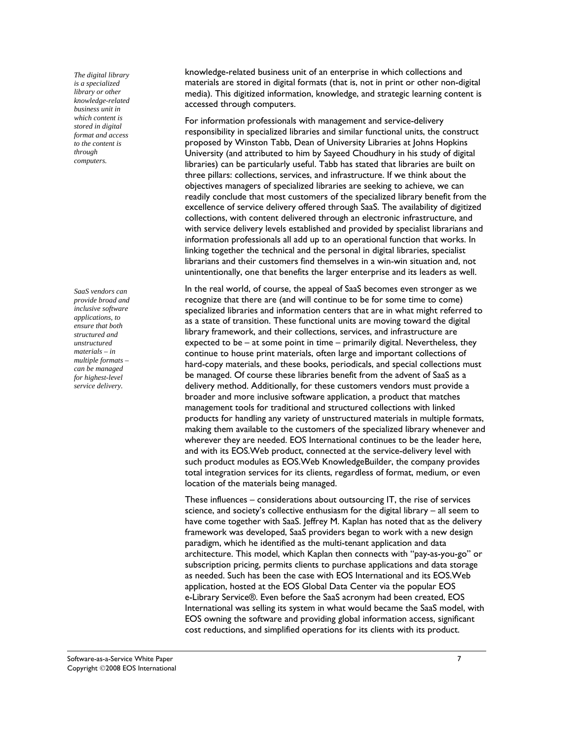*The digital library is a specialized library or other knowledge-related business unit in which content is stored in digital format and access to the content is through computers.* 

*SaaS vendors can provide broad and inclusive software applications, to ensure that both structured and unstructured materials – in multiple formats – can be managed for highest-level service delivery.* 

knowledge-related business unit of an enterprise in which collections and materials are stored in digital formats (that is, not in print or other non-digital media). This digitized information, knowledge, and strategic learning content is accessed through computers.

For information professionals with management and service-delivery responsibility in specialized libraries and similar functional units, the construct proposed by Winston Tabb, Dean of University Libraries at Johns Hopkins University (and attributed to him by Sayeed Choudhury in his study of digital libraries) can be particularly useful. Tabb has stated that libraries are built on three pillars: collections, services, and infrastructure. If we think about the objectives managers of specialized libraries are seeking to achieve, we can readily conclude that most customers of the specialized library benefit from the excellence of service delivery offered through SaaS. The availability of digitized collections, with content delivered through an electronic infrastructure, and with service delivery levels established and provided by specialist librarians and information professionals all add up to an operational function that works. In linking together the technical and the personal in digital libraries, specialist librarians and their customers find themselves in a win-win situation and, not unintentionally, one that benefits the larger enterprise and its leaders as well.

In the real world, of course, the appeal of SaaS becomes even stronger as we recognize that there are (and will continue to be for some time to come) specialized libraries and information centers that are in what might referred to as a state of transition. These functional units are moving toward the digital library framework, and their collections, services, and infrastructure are expected to be – at some point in time – primarily digital. Nevertheless, they continue to house print materials, often large and important collections of hard-copy materials, and these books, periodicals, and special collections must be managed. Of course these libraries benefit from the advent of SaaS as a delivery method. Additionally, for these customers vendors must provide a broader and more inclusive software application, a product that matches management tools for traditional and structured collections with linked products for handling any variety of unstructured materials in multiple formats, making them available to the customers of the specialized library whenever and wherever they are needed. EOS International continues to be the leader here, and with its EOS.Web product, connected at the service-delivery level with such product modules as EOS.Web KnowledgeBuilder, the company provides total integration services for its clients, regardless of format, medium, or even location of the materials being managed.

These influences – considerations about outsourcing IT, the rise of services science, and society's collective enthusiasm for the digital library – all seem to have come together with SaaS. Jeffrey M. Kaplan has noted that as the delivery framework was developed, SaaS providers began to work with a new design paradigm, which he identified as the multi-tenant application and data architecture. This model, which Kaplan then connects with "pay-as-you-go" or subscription pricing, permits clients to purchase applications and data storage as needed. Such has been the case with EOS International and its EOS.Web application, hosted at the EOS Global Data Center via the popular EOS e-Library Service®. Even before the SaaS acronym had been created, EOS International was selling its system in what would became the SaaS model, with EOS owning the software and providing global information access, significant cost reductions, and simplified operations for its clients with its product.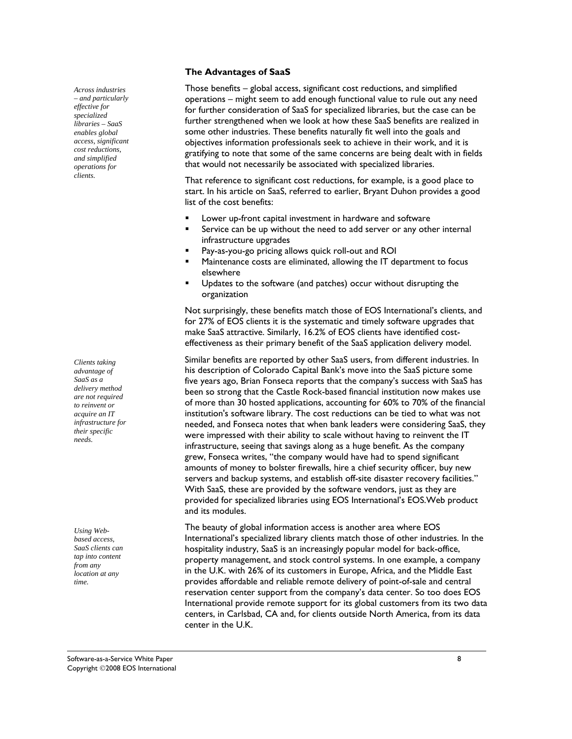## **The Advantages of SaaS**

Those benefits – global access, significant cost reductions, and simplified operations – might seem to add enough functional value to rule out any need for further consideration of SaaS for specialized libraries, but the case can be further strengthened when we look at how these SaaS benefits are realized in some other industries. These benefits naturally fit well into the goals and objectives information professionals seek to achieve in their work, and it is gratifying to note that some of the same concerns are being dealt with in fields that would not necessarily be associated with specialized libraries.

That reference to significant cost reductions, for example, is a good place to start. In his article on SaaS, referred to earlier, Bryant Duhon provides a good list of the cost benefits:

- Lower up-front capital investment in hardware and software
- **Service can be up without the need to add server or any other internal** infrastructure upgrades
- Pay-as-you-go pricing allows quick roll-out and ROI
- Maintenance costs are eliminated, allowing the IT department to focus elsewhere
- Updates to the software (and patches) occur without disrupting the organization

Not surprisingly, these benefits match those of EOS International's clients, and for 27% of EOS clients it is the systematic and timely software upgrades that make SaaS attractive. Similarly, 16.2% of EOS clients have identified costeffectiveness as their primary benefit of the SaaS application delivery model.

Similar benefits are reported by other SaaS users, from different industries. In his description of Colorado Capital Bank's move into the SaaS picture some five years ago, Brian Fonseca reports that the company's success with SaaS has been so strong that the Castle Rock-based financial institution now makes use of more than 30 hosted applications, accounting for 60% to 70% of the financial institution's software library. The cost reductions can be tied to what was not needed, and Fonseca notes that when bank leaders were considering SaaS, they were impressed with their ability to scale without having to reinvent the IT infrastructure, seeing that savings along as a huge benefit. As the company grew, Fonseca writes, "the company would have had to spend significant amounts of money to bolster firewalls, hire a chief security officer, buy new servers and backup systems, and establish off-site disaster recovery facilities." With SaaS, these are provided by the software vendors, just as they are provided for specialized libraries using EOS International's EOS.Web product and its modules.

The beauty of global information access is another area where EOS International's specialized library clients match those of other industries. In the hospitality industry, SaaS is an increasingly popular model for back-office, property management, and stock control systems. In one example, a company in the U.K. with 26% of its customers in Europe, Africa, and the Middle East provides affordable and reliable remote delivery of point-of-sale and central reservation center support from the company's data center. So too does EOS International provide remote support for its global customers from its two data centers, in Carlsbad, CA and, for clients outside North America, from its data center in the U.K.

*Clients taking advantage of SaaS as a delivery method are not required to reinvent or acquire an IT infrastructure for their specific needs.* 

*Across industries – and particularly effective for specialized libraries – SaaS enables global access, significant cost reductions, and simplified operations for clients.* 

*Using Webbased access, SaaS clients can tap into content from any location at any time.*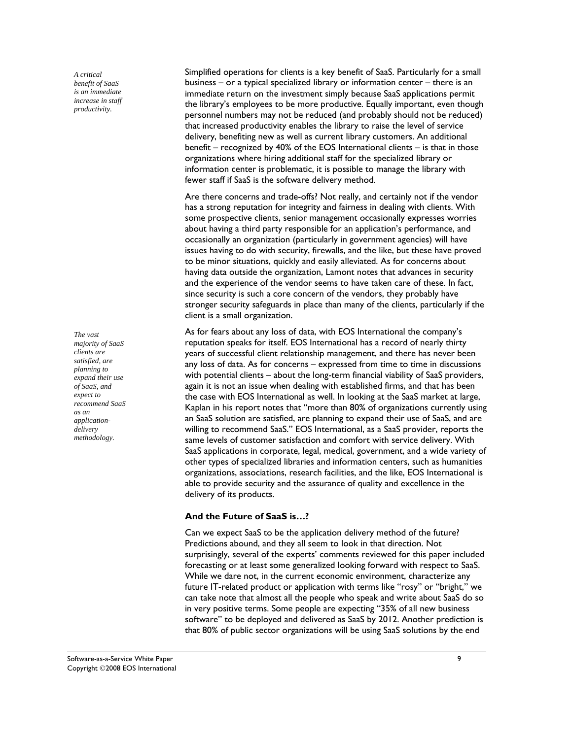*A critical benefit of SaaS is an immediate increase in staff productivity.* 

*The vast majority of SaaS clients are satisfied, are planning to expand their use of SaaS, and expect to recommend SaaS as an applicationdelivery methodology.* 

Simplified operations for clients is a key benefit of SaaS. Particularly for a small business – or a typical specialized library or information center – there is an immediate return on the investment simply because SaaS applications permit the library's employees to be more productive. Equally important, even though personnel numbers may not be reduced (and probably should not be reduced) that increased productivity enables the library to raise the level of service delivery, benefiting new as well as current library customers. An additional benefit – recognized by 40% of the EOS International clients – is that in those organizations where hiring additional staff for the specialized library or information center is problematic, it is possible to manage the library with fewer staff if SaaS is the software delivery method.

Are there concerns and trade-offs? Not really, and certainly not if the vendor has a strong reputation for integrity and fairness in dealing with clients. With some prospective clients, senior management occasionally expresses worries about having a third party responsible for an application's performance, and occasionally an organization (particularly in government agencies) will have issues having to do with security, firewalls, and the like, but these have proved to be minor situations, quickly and easily alleviated. As for concerns about having data outside the organization, Lamont notes that advances in security and the experience of the vendor seems to have taken care of these. In fact, since security is such a core concern of the vendors, they probably have stronger security safeguards in place than many of the clients, particularly if the client is a small organization.

As for fears about any loss of data, with EOS International the company's reputation speaks for itself. EOS International has a record of nearly thirty years of successful client relationship management, and there has never been any loss of data. As for concerns – expressed from time to time in discussions with potential clients – about the long-term financial viability of SaaS providers, again it is not an issue when dealing with established firms, and that has been the case with EOS International as well. In looking at the SaaS market at large, Kaplan in his report notes that "more than 80% of organizations currently using an SaaS solution are satisfied, are planning to expand their use of SaaS, and are willing to recommend SaaS." EOS International, as a SaaS provider, reports the same levels of customer satisfaction and comfort with service delivery. With SaaS applications in corporate, legal, medical, government, and a wide variety of other types of specialized libraries and information centers, such as humanities organizations, associations, research facilities, and the like, EOS International is able to provide security and the assurance of quality and excellence in the delivery of its products.

#### **And the Future of SaaS is…?**

Can we expect SaaS to be the application delivery method of the future? Predictions abound, and they all seem to look in that direction. Not surprisingly, several of the experts' comments reviewed for this paper included forecasting or at least some generalized looking forward with respect to SaaS. While we dare not, in the current economic environment, characterize any future IT-related product or application with terms like "rosy" or "bright," we can take note that almost all the people who speak and write about SaaS do so in very positive terms. Some people are expecting "35% of all new business software" to be deployed and delivered as SaaS by 2012. Another prediction is that 80% of public sector organizations will be using SaaS solutions by the end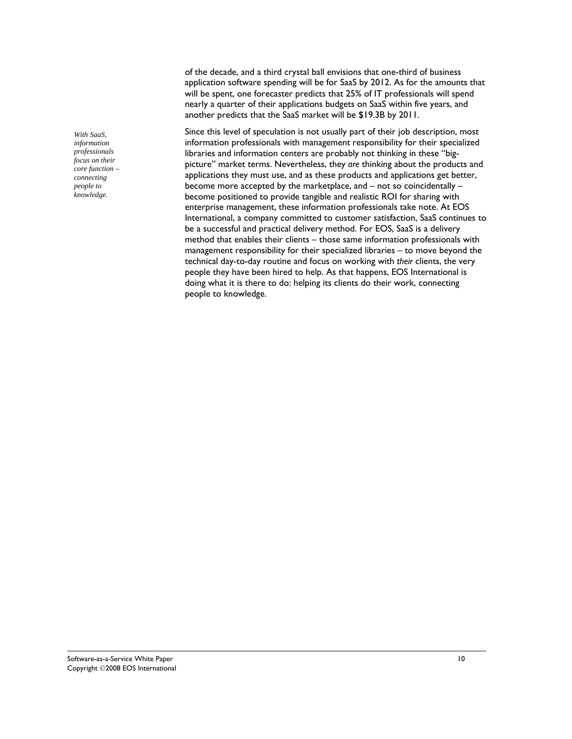*With SaaS, information professionals focus on their core function – connecting people to knowledge.* 

of the decade, and a third crystal ball envisions that one-third of business application software spending will be for SaaS by 2012. As for the amounts that will be spent, one forecaster predicts that 25% of IT professionals will spend nearly a quarter of their applications budgets on SaaS within five years, and another predicts that the SaaS market will be \$19.3B by 2011.

Since this level of speculation is not usually part of their job description, most information professionals with management responsibility for their specialized libraries and information centers are probably not thinking in these "bigpicture" market terms. Nevertheless, they *are* thinking about the products and applications they must use, and as these products and applications get better, become more accepted by the marketplace, and – not so coincidentally – become positioned to provide tangible and realistic ROI for sharing with enterprise management, these information professionals take note. At EOS International, a company committed to customer satisfaction, SaaS continues to be a successful and practical delivery method. For EOS, SaaS is a delivery method that enables their clients – those same information professionals with management responsibility for their specialized libraries – to move beyond the technical day-to-day routine and focus on working with *their* clients, the very people they have been hired to help. As that happens, EOS International is doing what it is there to do: helping its clients do their work, connecting people to knowledge.